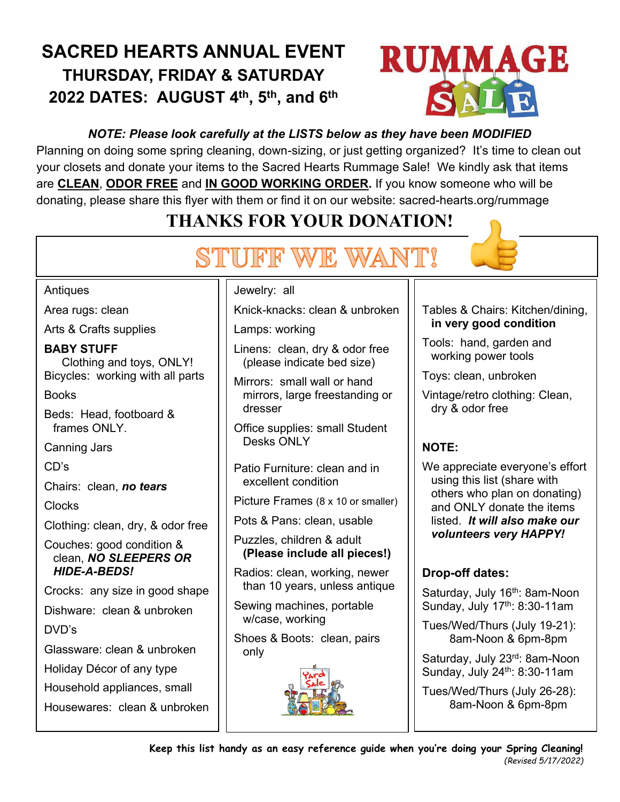# **SACRED HEARTS ANNUAL EVENT THURSDAY, FRIDAY & SATURDAY 2022 DATES: AUGUST 4 th , 5 th , and 6 th**



## *NOTE: Please look carefully at the LISTS below as they have been MODIFIED*

Planning on doing some spring cleaning, down-sizing, or just getting organized? It's time to clean out your closets and donate your items to the Sacred Hearts Rummage Sale! We kindly ask that items are **CLEAN**, **ODOR FREE** and **IN GOOD WORKING ORDER.** If you know someone who will be donating, please share this flyer with them or find it on our website: sacred-hearts.org/rummage

## **THANKS FOR YOUR DONATION!**

# STUFF WE WANT!



#### **Antiques**

Area rugs: clean

Arts & Crafts supplies

#### **BABY STUFF**

Clothing and toys, ONLY! Bicycles: working with all parts

Books

Beds: Head, footboard & frames ONLY.

Canning Jars

CD's

Chairs: clean, *no tears*

Clocks

Clothing: clean, dry, & odor free

Couches: good condition & clean, *NO SLEEPERS OR HIDE-A-BEDS!*

Crocks: any size in good shape

Dishware: clean & unbroken

DVD's

Glassware: clean & unbroken

Holiday Décor of any type

Household appliances, small

Housewares: clean & unbroken

#### Jewelry: all

Knick-knacks: clean & unbroken

Lamps: working

- Linens: clean, dry & odor free (please indicate bed size)
- Mirrors: small wall or hand mirrors, large freestanding or dresser

Office supplies: small Student Desks ONLY

Patio Furniture: clean and in excellent condition

Picture Frames (8 x 10 or smaller)

Pots & Pans: clean, usable

Puzzles, children & adult **(Please include all pieces!)**

Radios: clean, working, newer than 10 years, unless antique

Sewing machines, portable w/case, working

Shoes & Boots: clean, pairs only



#### Tables & Chairs: Kitchen/dining, **in very good condition**

Tools: hand, garden and working power tools

Toys: clean, unbroken

Vintage/retro clothing: Clean, dry & odor free

## **NOTE:**

We appreciate everyone's effort using this list (share with others who plan on donating) and ONLY donate the items listed. *It will also make our volunteers very HAPPY!*

## **Drop-off dates:**

Saturday, July 16<sup>th</sup>: 8am-Noon Sunday, July 17th: 8:30-11am

Tues/Wed/Thurs (July 19-21): 8am-Noon & 6pm-8pm

Saturday, July 23<sup>rd</sup>: 8am-Noon Sunday, July 24th: 8:30-11am

Tues/Wed/Thurs (July 26-28): 8am-Noon & 6pm-8pm